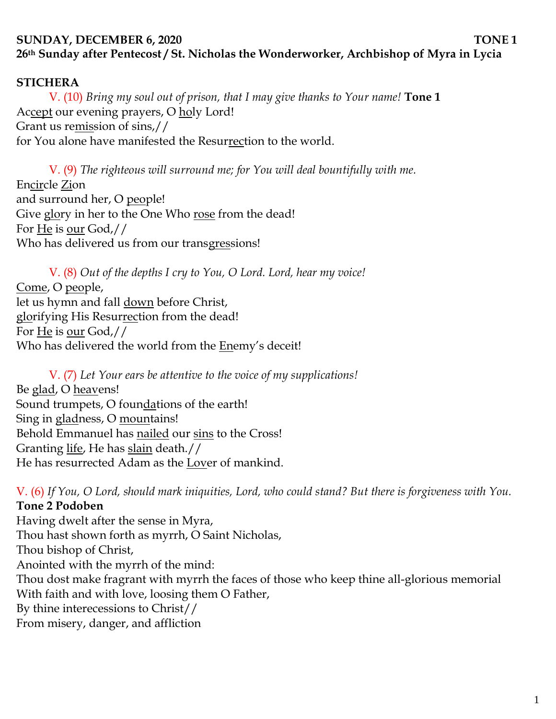# **SUNDAY, DECEMBER 6, 2020 TONE 1 26th Sunday after Pentecost / St. Nicholas the Wonderworker, Archbishop of Myra in Lycia**

#### **STICHERA**

V. (10) *Bring my soul out of prison, that I may give thanks to Your name!* **Tone 1** Accept our evening prayers, O holy Lord! Grant us remission of sins,// for You alone have manifested the Resurrection to the world.

V. (9) *The righteous will surround me; for You will deal bountifully with me.*  Encircle Zion and surround her, O people! Give glory in her to the One Who rose from the dead! For He is our God,// Who has delivered us from our transgressions!

V. (8) *Out of the depths I cry to You, O Lord. Lord, hear my voice!*  Come, O people, let us hymn and fall down before Christ, glorifying His Resurrection from the dead! For He is our God,// Who has delivered the world from the Enemy's deceit!

V. (7) *Let Your ears be attentive to the voice of my supplications!* Be glad, O heavens! Sound trumpets, O foundations of the earth! Sing in gladness, O mountains! Behold Emmanuel has nailed our sins to the Cross! Granting life, He has slain death.// He has resurrected Adam as the Lover of mankind.

V. (6) *If You, O Lord, should mark iniquities, Lord, who could stand? But there is forgiveness with You.* **Tone 2 Podoben**

Having dwelt after the sense in Myra, Thou hast shown forth as myrrh, O Saint Nicholas, Thou bishop of Christ, Anointed with the myrrh of the mind: Thou dost make fragrant with myrrh the faces of those who keep thine all-glorious memorial With faith and with love, loosing them O Father, By thine interecessions to Christ// From misery, danger, and affliction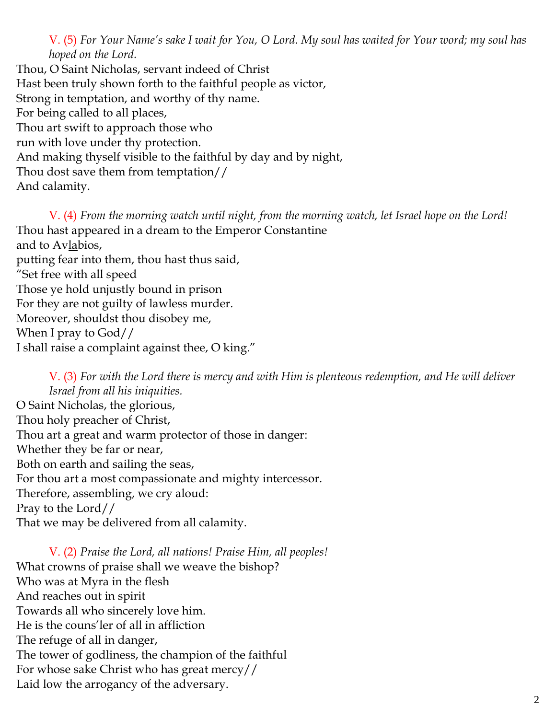V. (5) *For Your Name's sake I wait for You, O Lord. My soul has waited for Your word; my soul has hoped on the Lord.* 

Thou, O Saint Nicholas, servant indeed of Christ Hast been truly shown forth to the faithful people as victor, Strong in temptation, and worthy of thy name. For being called to all places, Thou art swift to approach those who run with love under thy protection. And making thyself visible to the faithful by day and by night, Thou dost save them from temptation// And calamity.

V. (4) *From the morning watch until night, from the morning watch, let Israel hope on the Lord!*  Thou hast appeared in a dream to the Emperor Constantine and to Avlabios, putting fear into them, thou hast thus said, "Set free with all speed Those ye hold unjustly bound in prison For they are not guilty of lawless murder. Moreover, shouldst thou disobey me, When I pray to God// I shall raise a complaint against thee, O king."

V. (3) *For with the Lord there is mercy and with Him is plenteous redemption, and He will deliver Israel from all his iniquities.* O Saint Nicholas, the glorious, Thou holy preacher of Christ, Thou art a great and warm protector of those in danger: Whether they be far or near, Both on earth and sailing the seas, For thou art a most compassionate and mighty intercessor. Therefore, assembling, we cry aloud: Pray to the Lord// That we may be delivered from all calamity.

V. (2) *Praise the Lord, all nations! Praise Him, all peoples!* What crowns of praise shall we weave the bishop? Who was at Myra in the flesh And reaches out in spirit Towards all who sincerely love him. He is the couns'ler of all in affliction The refuge of all in danger, The tower of godliness, the champion of the faithful For whose sake Christ who has great mercy// Laid low the arrogancy of the adversary.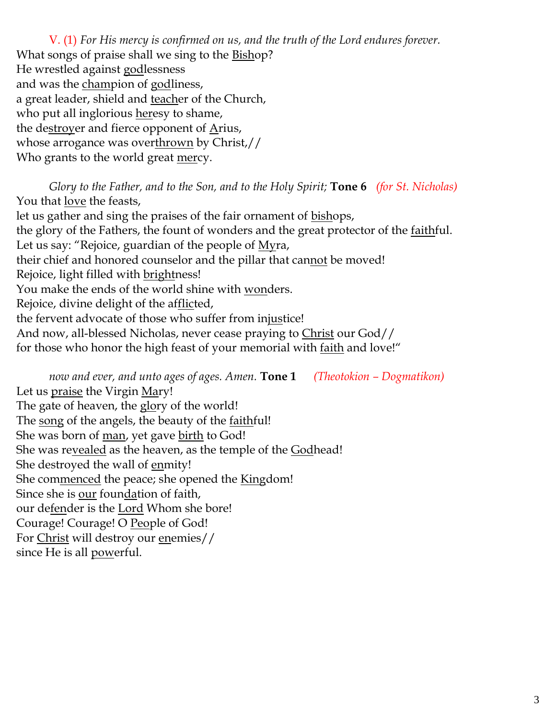V. (1) *For His mercy is confirmed on us, and the truth of the Lord endures forever.*  What songs of praise shall we sing to the **Bishop?** He wrestled against godlessness and was the champion of godliness, a great leader, shield and teacher of the Church, who put all inglorious heresy to shame, the destroyer and fierce opponent of  $\Delta$ rius, whose arrogance was overthrown by Christ,// Who grants to the world great mercy.

*Glory to the Father, and to the Son, and to the Holy Spirit;* **Tone 6** *(for St. Nicholas)* You that love the feasts, let us gather and sing the praises of the fair ornament of bishops, the glory of the Fathers, the fount of wonders and the great protector of the *faithful*. Let us say: "Rejoice, guardian of the people of  $Myra$ , their chief and honored counselor and the pillar that cannot be moved! Rejoice, light filled with brightness! You make the ends of the world shine with wonders. Rejoice, divine delight of the afflicted, the fervent advocate of those who suffer from injustice! And now, all-blessed Nicholas, never cease praying to Christ our God// for those who honor the high feast of your memorial with <u>faith</u> and love!"

*now and ever, and unto ages of ages. Amen.* **Tone 1** *(Theotokion – Dogmatikon)* Let us praise the Virgin Mary! The gate of heaven, the glory of the world! The song of the angels, the beauty of the faithful! She was born of <u>man</u>, yet gave <u>birth</u> to God! She was revealed as the heaven, as the temple of the Godhead! She destroyed the wall of enmity! She commenced the peace; she opened the Kingdom! Since she is our foundation of faith, our defender is the Lord Whom she bore! Courage! Courage! O People of God! For Christ will destroy our enemies// since He is all <u>powerful</u>.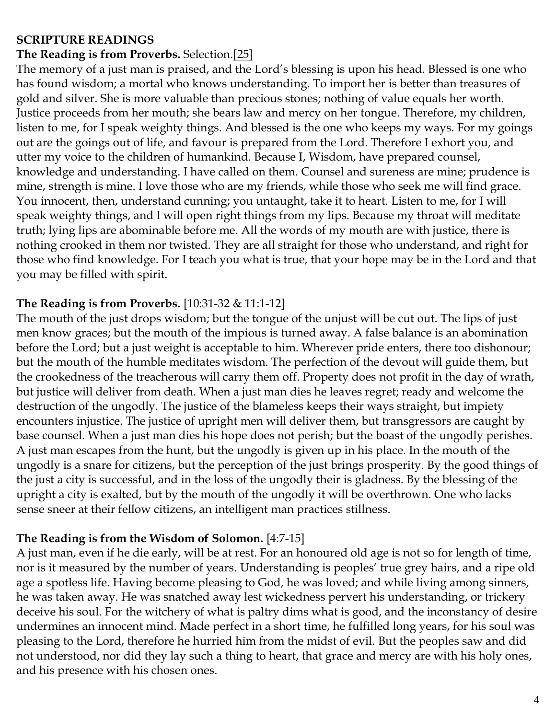#### **SCRIPTURE READINGS**

# **The Reading is from Proverbs.** Selection[.\[25\]](https://web.archive.org/web/20160322161424/http:/anastasis.org.uk/readings_for_january.htm#_ftn25)

The memory of a just man is praised, and the Lord's blessing is upon his head. Blessed is one who has found wisdom; a mortal who knows understanding. To import her is better than treasures of gold and silver. She is more valuable than precious stones; nothing of value equals her worth. Justice proceeds from her mouth; she bears law and mercy on her tongue. Therefore, my children, listen to me, for I speak weighty things. And blessed is the one who keeps my ways. For my goings out are the goings out of life, and favour is prepared from the Lord. Therefore I exhort you, and utter my voice to the children of humankind. Because I, Wisdom, have prepared counsel, knowledge and understanding. I have called on them. Counsel and sureness are mine; prudence is mine, strength is mine. I love those who are my friends, while those who seek me will find grace. You innocent, then, understand cunning; you untaught, take it to heart. Listen to me, for I will speak weighty things, and I will open right things from my lips. Because my throat will meditate truth; lying lips are abominable before me. All the words of my mouth are with justice, there is nothing crooked in them nor twisted. They are all straight for those who understand, and right for those who find knowledge. For I teach you what is true, that your hope may be in the Lord and that you may be filled with spirit.

# **The Reading is from Proverbs.** [10:31-32 & 11:1-12]

The mouth of the just drops wisdom; but the tongue of the unjust will be cut out. The lips of just men know graces; but the mouth of the impious is turned away. A false balance is an abomination before the Lord; but a just weight is acceptable to him. Wherever pride enters, there too dishonour; but the mouth of the humble meditates wisdom. The perfection of the devout will guide them, but the crookedness of the treacherous will carry them off. Property does not profit in the day of wrath, but justice will deliver from death. When a just man dies he leaves regret; ready and welcome the destruction of the ungodly. The justice of the blameless keeps their ways straight, but impiety encounters injustice. The justice of upright men will deliver them, but transgressors are caught by base counsel. When a just man dies his hope does not perish; but the boast of the ungodly perishes. A just man escapes from the hunt, but the ungodly is given up in his place. In the mouth of the ungodly is a snare for citizens, but the perception of the just brings prosperity. By the good things of the just a city is successful, and in the loss of the ungodly their is gladness. By the blessing of the upright a city is exalted, but by the mouth of the ungodly it will be overthrown. One who lacks sense sneer at their fellow citizens, an intelligent man practices stillness.

# **The Reading is from the Wisdom of Solomon.** [4:7-15]

A just man, even if he die early, will be at rest. For an honoured old age is not so for length of time, nor is it measured by the number of years. Understanding is peoples' true grey hairs, and a ripe old age a spotless life. Having become pleasing to God, he was loved; and while living among sinners, he was taken away. He was snatched away lest wickedness pervert his understanding, or trickery deceive his soul. For the witchery of what is paltry dims what is good, and the inconstancy of desire undermines an innocent mind. Made perfect in a short time, he fulfilled long years, for his soul was pleasing to the Lord, therefore he hurried him from the midst of evil. But the peoples saw and did not understood, nor did they lay such a thing to heart, that grace and mercy are with his holy ones, and his presence with his chosen ones.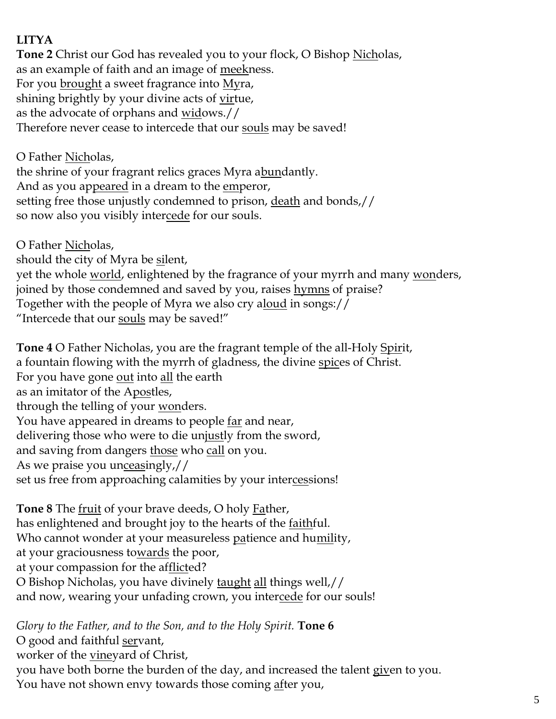# **LITYA**

**Tone 2** Christ our God has revealed you to your flock, O Bishop Nicholas, as an example of faith and an image of meekness. For you <u>brought</u> a sweet fragrance into <u>My</u>ra, shining brightly by your divine acts of virtue, as the advocate of orphans and <u>wid</u>ows.// Therefore never cease to intercede that our souls may be saved!

O Father <u>Nich</u>olas, the shrine of your fragrant relics graces Myra abundantly. And as you appeared in a dream to the emperor, setting free those unjustly condemned to prison, death and bonds,// so now also you visibly intercede for our souls.

O Father Nicholas, should the city of Myra be silent, yet the whole world, enlightened by the fragrance of your myrrh and many wonders, joined by those condemned and saved by you, raises hymns of praise? Together with the people of Myra we also cry aloud in songs:// "Intercede that our <u>souls</u> may be saved!"

**Tone 4** O Father Nicholas, you are the fragrant temple of the all-Holy Spirit, a fountain flowing with the myrrh of gladness, the divine spices of Christ. For you have gone <u>out</u> into <u>all</u> the earth as an imitator of the Apostles, through the telling of your wonders. You have appeared in dreams to people <u>far</u> and near, delivering those who were to die unjustly from the sword, and saving from dangers those who call on you. As we praise you unceasingly,// set us free from approaching calamities by your intercessions!

**Tone 8** The fruit of your brave deeds, O holy Father, has enlightened and brought joy to the hearts of the <u>faithful</u>. Who cannot wonder at your measureless patience and humility, at your graciousness towards the poor, at your compassion for the afflicted? O Bishop Nicholas, you have divinely taught all things well,// and now, wearing your unfading crown, you intercede for our souls!

*Glory to the Father, and to the Son, and to the Holy Spirit.* **Tone 6** O good and faithful servant, worker of the <u>vineyard of Christ</u>, you have both borne the burden of the day, and increased the talent given to you. You have not shown envy towards those coming after you,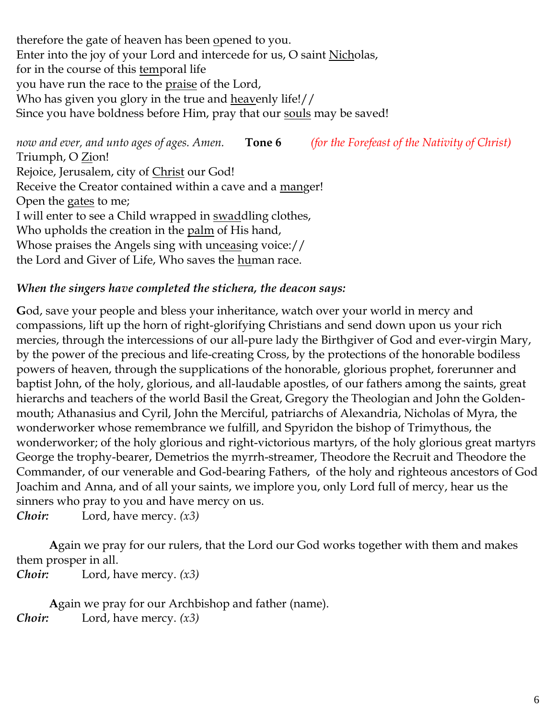therefore the gate of heaven has been opened to you. Enter into the joy of your Lord and intercede for us, O saint Nicholas, for in the course of this temporal life you have run the race to the praise of the Lord, Who has given you glory in the true and heavenly life!// Since you have boldness before Him, pray that our souls may be saved!

*now and ever, and unto ages of ages. Amen.* **Tone 6** *(for the Forefeast of the Nativity of Christ)* Triumph, O <u>Zi</u>on! Rejoice, Jerusalem, city of Christ our God! Receive the Creator contained within a cave and a manger! Open the gates to me; I will enter to see a Child wrapped in swaddling clothes, Who upholds the creation in the palm of His hand, Whose praises the Angels sing with unceasing voice:// the Lord and Giver of Life, Who saves the human race.

#### *When the singers have completed the stichera, the deacon says:*

**G**od, save your people and bless your inheritance, watch over your world in mercy and compassions, lift up the horn of right-glorifying Christians and send down upon us your rich mercies, through the intercessions of our all-pure lady the Birthgiver of God and ever-virgin Mary, by the power of the precious and life-creating Cross, by the protections of the honorable bodiless powers of heaven, through the supplications of the honorable, glorious prophet, forerunner and baptist John, of the holy, glorious, and all-laudable apostles, of our fathers among the saints, great hierarchs and teachers of the world Basil the Great, Gregory the Theologian and John the Goldenmouth; Athanasius and Cyril, John the Merciful, patriarchs of Alexandria, Nicholas of Myra, the wonderworker whose remembrance we fulfill, and Spyridon the bishop of Trimythous, the wonderworker; of the holy glorious and right-victorious martyrs, of the holy glorious great martyrs George the trophy-bearer, Demetrios the myrrh-streamer, Theodore the Recruit and Theodore the Commander, of our venerable and God-bearing Fathers, of the holy and righteous ancestors of God Joachim and Anna, and of all your saints, we implore you, only Lord full of mercy, hear us the sinners who pray to you and have mercy on us.

*Choir:* Lord, have mercy. *(x3)*

**A**gain we pray for our rulers, that the Lord our God works together with them and makes them prosper in all.

*Choir:* Lord, have mercy. *(x3)*

**A**gain we pray for our Archbishop and father (name). *Choir:* Lord, have mercy. *(x3)*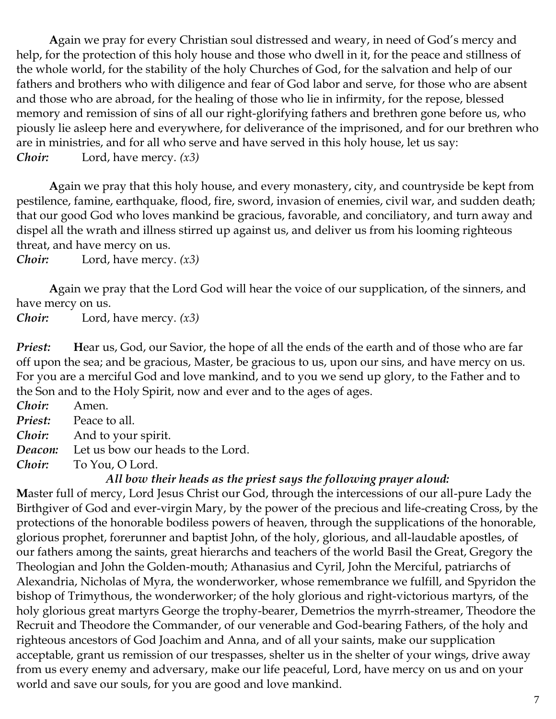**A**gain we pray for every Christian soul distressed and weary, in need of God's mercy and help, for the protection of this holy house and those who dwell in it, for the peace and stillness of the whole world, for the stability of the holy Churches of God, for the salvation and help of our fathers and brothers who with diligence and fear of God labor and serve, for those who are absent and those who are abroad, for the healing of those who lie in infirmity, for the repose, blessed memory and remission of sins of all our right-glorifying fathers and brethren gone before us, who piously lie asleep here and everywhere, for deliverance of the imprisoned, and for our brethren who are in ministries, and for all who serve and have served in this holy house, let us say: *Choir:* Lord, have mercy. *(x3)*

**A**gain we pray that this holy house, and every monastery, city, and countryside be kept from pestilence, famine, earthquake, flood, fire, sword, invasion of enemies, civil war, and sudden death; that our good God who loves mankind be gracious, favorable, and conciliatory, and turn away and dispel all the wrath and illness stirred up against us, and deliver us from his looming righteous threat, and have mercy on us.

*Choir:* Lord, have mercy. *(x3)*

**A**gain we pray that the Lord God will hear the voice of our supplication, of the sinners, and have mercy on us.

*Choir:* Lord, have mercy. *(x3)*

*Priest:* Hear us, God, our Savior, the hope of all the ends of the earth and of those who are far off upon the sea; and be gracious, Master, be gracious to us, upon our sins, and have mercy on us. For you are a merciful God and love mankind, and to you we send up glory, to the Father and to the Son and to the Holy Spirit, now and ever and to the ages of ages.

*Choir:* Amen. *Priest:* Peace to all. *Choir:* And to your spirit. *Deacon:* Let us bow our heads to the Lord.

*Choir:* To You, O Lord.

#### *All bow their heads as the priest says the following prayer aloud:*

**M**aster full of mercy, Lord Jesus Christ our God, through the intercessions of our all-pure Lady the Birthgiver of God and ever-virgin Mary, by the power of the precious and life-creating Cross, by the protections of the honorable bodiless powers of heaven, through the supplications of the honorable, glorious prophet, forerunner and baptist John, of the holy, glorious, and all-laudable apostles, of our fathers among the saints, great hierarchs and teachers of the world Basil the Great, Gregory the Theologian and John the Golden-mouth; Athanasius and Cyril, John the Merciful, patriarchs of Alexandria, Nicholas of Myra, the wonderworker, whose remembrance we fulfill, and Spyridon the bishop of Trimythous, the wonderworker; of the holy glorious and right-victorious martyrs, of the holy glorious great martyrs George the trophy-bearer, Demetrios the myrrh-streamer, Theodore the Recruit and Theodore the Commander, of our venerable and God-bearing Fathers, of the holy and righteous ancestors of God Joachim and Anna, and of all your saints, make our supplication acceptable, grant us remission of our trespasses, shelter us in the shelter of your wings, drive away from us every enemy and adversary, make our life peaceful, Lord, have mercy on us and on your world and save our souls, for you are good and love mankind.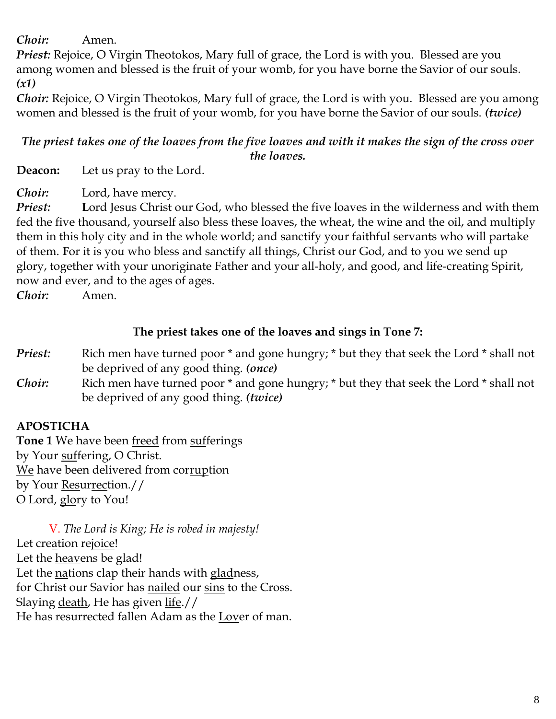*Choir:* Amen.

*Priest:* Rejoice, O Virgin Theotokos, Mary full of grace, the Lord is with you. Blessed are you among women and blessed is the fruit of your womb, for you have borne the Savior of our souls. *(x1)*

*Choir:* Rejoice, O Virgin Theotokos, Mary full of grace, the Lord is with you. Blessed are you among women and blessed is the fruit of your womb, for you have borne the Savior of our souls. *(twice)*

#### *The priest takes one of the loaves from the five loaves and with it makes the sign of the cross over the loaves.*

**Deacon:** Let us pray to the Lord.

*Choir:* Lord, have mercy.

*Priest:* **L**ord Jesus Christ our God, who blessed the five loaves in the wilderness and with them fed the five thousand, yourself also bless these loaves, the wheat, the wine and the oil, and multiply them in this holy city and in the whole world; and sanctify your faithful servants who will partake of them. **F**or it is you who bless and sanctify all things, Christ our God, and to you we send up glory, together with your unoriginate Father and your all-holy, and good, and life-creating Spirit, now and ever, and to the ages of ages.

*Choir:* Amen.

# **The priest takes one of the loaves and sings in Tone 7:**

- *Priest:* Rich men have turned poor  $*$  and gone hungry;  $*$  but they that seek the Lord  $*$  shall not be deprived of any good thing. *(once)*
- *Choir:* Rich men have turned poor \* and gone hungry; \* but they that seek the Lord \* shall not be deprived of any good thing. *(twice)*

# **APOSTICHA**

**Tone 1** We have been freed from sufferings by Your suffering, O Christ. We have been delivered from corruption by Your Resurrection.// O Lord, glory to You!

V. *The Lord is King; He is robed in majesty!*  Let creation rejoice! Let the **heavens** be glad! Let the nations clap their hands with gladness, for Christ our Savior has nailed our sins to the Cross. Slaying death, He has given life.// He has resurrected fallen Adam as the Lover of man.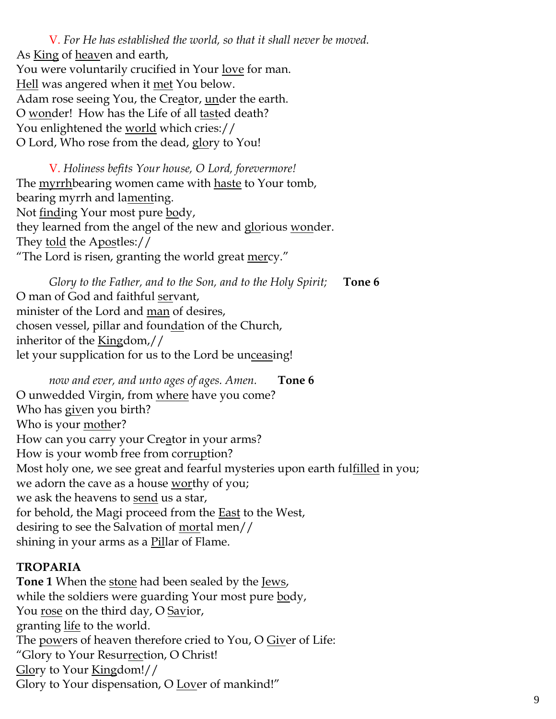V. *For He has established the world, so that it shall never be moved.* As King of heaven and earth, You were voluntarily crucified in Your love for man. Hell was angered when it met You below. Adam rose seeing You, the Creator, <u>un</u>der the earth. O wonder! How has the Life of all tasted death? You enlightened the <u>world</u> which cries:// O Lord, Who rose from the dead, glory to You!

V. *Holiness befits Your house, O Lord, forevermore!*  The <u>myrrh</u>bearing women came with haste to Your tomb, bearing myrrh and lamenting. Not <u>find</u>ing Your most pure body, they learned from the angel of the new and glorious wonder. They told the Apostles:// "The Lord is risen, granting the world great mercy."

*Glory to the Father, and to the Son, and to the Holy Spirit;* **Tone 6** O man of God and faithful servant, minister of the Lord and man of desires, chosen vessel, pillar and foundation of the Church, inheritor of the Kingdom,// let your supplication for us to the Lord be unceasing!

*now and ever, and unto ages of ages. Amen.* **Tone 6** O unwedded Virgin, from where have you come? Who has given you birth? Who is your mother? How can you carry your Creator in your arms? How is your womb free from corruption? Most holy one, we see great and fearful mysteries upon earth fulfilled in you; we adorn the cave as a house worthy of you; we ask the heavens to <u>send</u> us a star, for behold, the Magi proceed from the **East** to the West, desiring to see the Salvation of mortal men// shining in your arms as a <u>Pil</u>lar of Flame.

#### **TROPARIA**

**Tone 1** When the stone had been sealed by the Jews, while the soldiers were guarding Your most pure body, You <u>rose</u> on the third day, O Savior, granting <u>life</u> to the world. The powers of heaven therefore cried to You, O Giver of Life: "Glory to Your Resur<u>rec</u>tion, O Christ! Glory to Your Kingdom!// Glory to Your dispensation, O <u>Lov</u>er of mankind!"